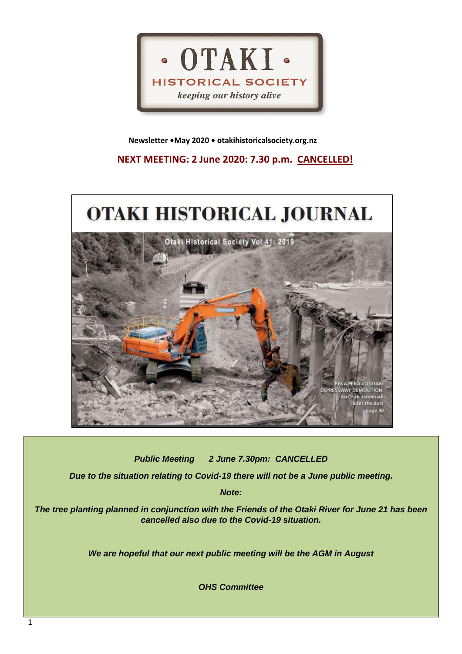

 **Newsletter •May 2020 • otakihistoricalsociety.org.nz**

**NEXT MEETING: 2 June 2020: 7.30 p.m. CANCELLED!**



*Public Meeting 2 June 7.30pm: CANCELLED*

*Due to the situation relating to Covid-19 there will not be a June public meeting.*

*Note:*

*The tree planting planned in conjunction with the Friends of the Otaki River for June 21 has been cancelled also due to the Covid-19 situation.*

*We are hopeful that our next public meeting will be the AGM in August*

*OHS Committee*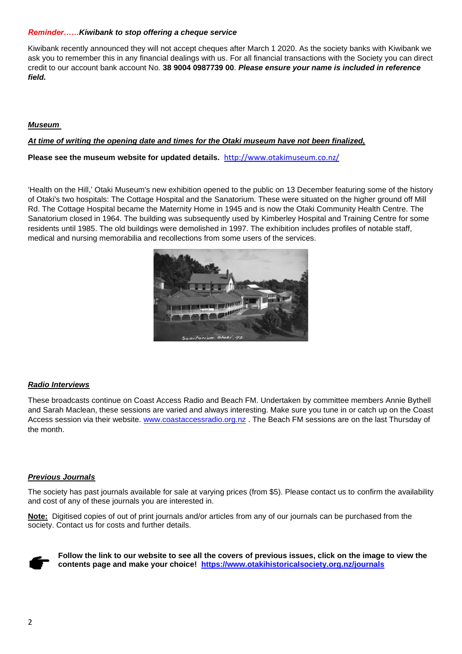## *Reminder……Kiwibank to stop offering a cheque service*

Kiwibank recently announced they will not accept cheques after March 1 2020. As the society banks with Kiwibank we ask you to remember this in any financial dealings with us. For all financial transactions with the Society you can direct credit to our account bank account No. **38 9004 0987739 00**. *Please ensure your name is included in reference field.*

# *Museum*

## *At time of writing the opening date and times for the Otaki museum have not been finalized,*

**Please see the museum website for updated details.** <http://www.otakimuseum.co.nz/>

'Health on the Hill,' Otaki Museum's new exhibition opened to the public on 13 December featuring some of the history of Otaki's two hospitals: The Cottage Hospital and the Sanatorium. These were situated on the higher ground off Mill Rd. The Cottage Hospital became the Maternity Home in 1945 and is now the Otaki Community Health Centre. The Sanatorium closed in 1964. The building was subsequently used by Kimberley Hospital and Training Centre for some residents until 1985. The old buildings were demolished in 1997. The exhibition includes profiles of notable staff, medical and nursing memorabilia and recollections from some users of the services.



## *Radio Interviews*

These broadcasts continue on Coast Access Radio and Beach FM. Undertaken by committee members Annie Bythell and Sarah Maclean, these sessions are varied and always interesting. Make sure you tune in or catch up on the Coast Access session via their website. [www.coastaccessradio.org.nz](http://www.coastaccessradio.org.nz/) . The Beach FM sessions are on the last Thursday of the month.

### *Previous Journals*

The society has past journals available for sale at varying prices (from \$5). Please contact us to confirm the availability and cost of any of these journals you are interested in.

**Note:** Digitised copies of out of print journals and/or articles from any of our journals can be purchased from the society. Contact us for costs and further details.



**Follow the link to our website to see all the covers of previous issues, click on the image to view the contents page and make your choice! <https://www.otakihistoricalsociety.org.nz/journals>**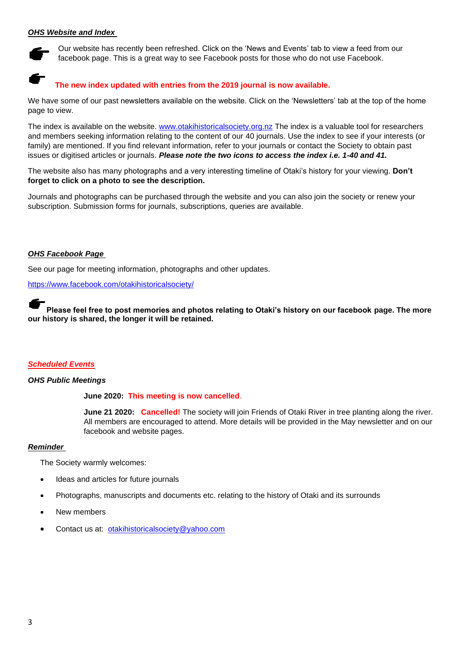## *OHS Website and Index*



Our website has recently been refreshed. Click on the 'News and Events' tab to view a feed from our facebook page. This is a great way to see Facebook posts for those who do not use Facebook.

# **The new index updated with entries from the 2019 journal is now available.**

We have some of our past newsletters available on the website. Click on the 'Newsletters' tab at the top of the home page to view.

The index is available on the website. [www.otakihistoricalsociety.org.nz](http://www.otakihistoricalsociety.org.nz/) The index is a valuable tool for researchers and members seeking information relating to the content of our 40 journals. Use the index to see if your interests (or family) are mentioned. If you find relevant information, refer to your journals or contact the Society to obtain past issues or digitised articles or journals. *Please note the two icons to access the index i.e. 1-40 and 41.*

The website also has many photographs and a very interesting timeline of Otaki's history for your viewing. **Don't forget to click on a photo to see the description.**

Journals and photographs can be purchased through the website and you can also join the society or renew your subscription. Submission forms for journals, subscriptions, queries are available.

### *OHS Facebook Page*

See our page for meeting information, photographs and other updates.

<https://www.facebook.com/otakihistoricalsociety/>

**Please feel free to post memories and photos relating to Otaki's history on our facebook page. The more our history is shared, the longer it will be retained.**

### *Scheduled Events*

### *OHS Public Meetings*

**June 2020: This meeting is now cancelled**.

**June 21 2020: Cancelled!** The society will join Friends of Otaki River in tree planting along the river. All members are encouraged to attend. More details will be provided in the May newsletter and on our facebook and website pages.

### *Reminder*

The Society warmly welcomes:

- Ideas and articles for future journals
- Photographs, manuscripts and documents etc. relating to the history of Otaki and its surrounds
- New members
- Contact us at: [otakihistoricalsociety@yahoo.com](mailto:otakihistoricalsociety@yahoo.com)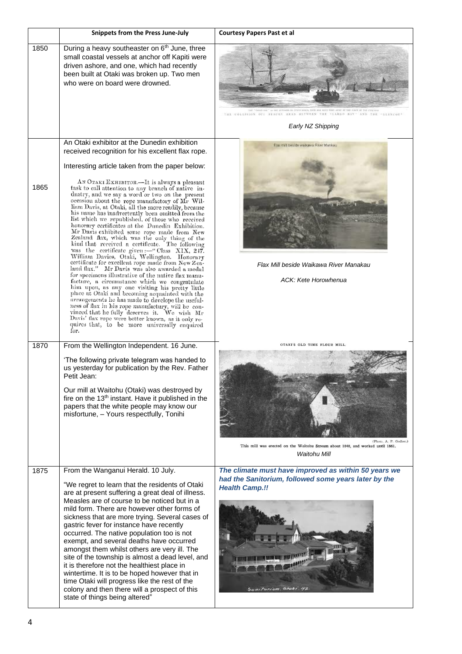|      | <b>Snippets from the Press June-July</b>                                                                                                                                                                                                                                                                                                                                                                                                                                                                                                                                                                                                                                                                                                                                                                                                                                                                                                                                                                                                                                                                                                                                                                                                                                                                                                                                         | <b>Courtesy Papers Past et al</b>                                                                                                                          |
|------|----------------------------------------------------------------------------------------------------------------------------------------------------------------------------------------------------------------------------------------------------------------------------------------------------------------------------------------------------------------------------------------------------------------------------------------------------------------------------------------------------------------------------------------------------------------------------------------------------------------------------------------------------------------------------------------------------------------------------------------------------------------------------------------------------------------------------------------------------------------------------------------------------------------------------------------------------------------------------------------------------------------------------------------------------------------------------------------------------------------------------------------------------------------------------------------------------------------------------------------------------------------------------------------------------------------------------------------------------------------------------------|------------------------------------------------------------------------------------------------------------------------------------------------------------|
| 1850 | During a heavy southeaster on 6 <sup>th</sup> June, three<br>small coastal vessels at anchor off Kapiti were<br>driven ashore, and one, which had recently<br>been built at Otaki was broken up. Two men<br>who were on board were drowned.                                                                                                                                                                                                                                                                                                                                                                                                                                                                                                                                                                                                                                                                                                                                                                                                                                                                                                                                                                                                                                                                                                                                      | THE COLLISION OFF BEACHY HEAD BETWEEN THE "LARGO BAY" AND THE "GLENCOE<br>Early NZ Shipping                                                                |
|      | An Otaki exhibitor at the Dunedin exhibition                                                                                                                                                                                                                                                                                                                                                                                                                                                                                                                                                                                                                                                                                                                                                                                                                                                                                                                                                                                                                                                                                                                                                                                                                                                                                                                                     | Flax thit beside walkawa River Marikau.                                                                                                                    |
| 1865 | received recognition for his excellent flax rope.<br>Interesting article taken from the paper below:<br>AN OTAKI EXHIBITOR.-It is always a pleasant<br>task to call attention to any branch of native in-<br>dustry, and we say a word or two on the present<br>occasion about the rope manufactory of Mr Wil-<br>liam Davis, at Otaki, all the more readily, because<br>his name has inadvertently been omitted from the<br>list which we republished, of those who received<br>honorary certificates at the Dunedin Exhibition.<br>Mr Davis exhibited some rope made from New<br>Zealand flax, which was the only thing of the<br>kind that received a certificate. The following<br>was the certificate given :-- "Class XIX, 247.<br>William Davies, Otaki, Wellington. Honorary<br>certificate for excellent rope made from New Zea-<br>land flax." Mr Davis was also awarded a medal<br>for specimens illustrative of the native flax manu-<br>facture, a circumstance which we congratulate<br>him upon, as any one visiting his pretty little<br>place at Otaki and becoming acquainted with the<br>arrangements he has made to develope the useful-<br>ness of flax in his rope manufactury, will be cou-<br>vinced that he fully deserves it. We wish Mr<br>Davis' flax rope were better known, as it only re-<br>quires that, to be more universally enquired<br>for. | Flax Mill beside Waikawa River Manakau<br>ACK: Kete Horowhenua                                                                                             |
| 1870 | From the Wellington Independent. 16 June.<br>'The following private telegram was handed to<br>us yesterday for publication by the Rev. Father<br>Petit Jean: I<br>Our mill at Waitohu (Otaki) was destroyed by<br>fire on the 13 <sup>th</sup> instant. Have it published in the<br>papers that the white people may know our<br>misfortune, - Yours respectfully, Tonihi                                                                                                                                                                                                                                                                                                                                                                                                                                                                                                                                                                                                                                                                                                                                                                                                                                                                                                                                                                                                        | OTAKI'S OLD TIME FLOUR MILL<br>(Photo, A. P. Godber.)<br>This mill was erected on the Waitohu Stream about 1848, and worked until 1861.<br>Waitohu Mill    |
| 1875 | From the Wanganui Herald. 10 July.<br>"We regret to learn that the residents of Otaki<br>are at present suffering a great deal of illness.<br>Measles are of course to be noticed but in a<br>mild form. There are however other forms of<br>sickness that are more trying. Several cases of<br>gastric fever for instance have recently<br>occurred. The native population too is not<br>exempt, and several deaths have occurred<br>amongst them whilst others are very ill. The<br>site of the township is almost a dead level, and<br>it is therefore not the healthiest place in<br>wintertime. It is to be hoped however that in<br>time Otaki will progress like the rest of the<br>colony and then there will a prospect of this<br>state of things being altered"                                                                                                                                                                                                                                                                                                                                                                                                                                                                                                                                                                                                       | The climate must have improved as within 50 years we<br>had the Sanitorium, followed some years later by the<br><b>Health Camp.!!</b><br>Sonitorium, Otaki |